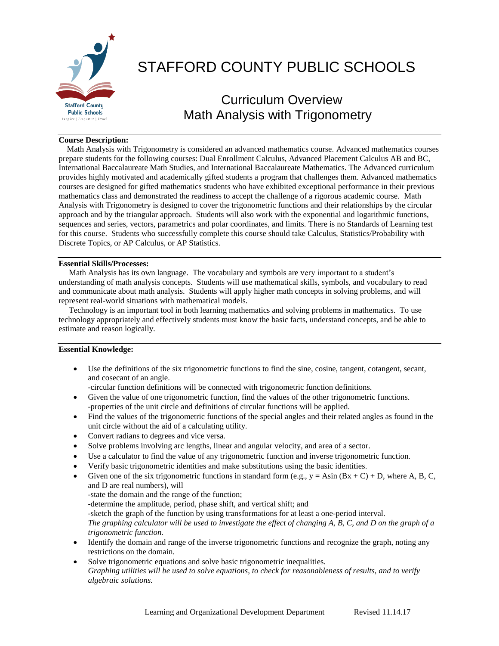

# STAFFORD COUNTY PUBLIC SCHOOLS

# Curriculum Overview Math Analysis with Trigonometry

#### **Course Description:**

 Math Analysis with Trigonometry is considered an advanced mathematics course. Advanced mathematics courses prepare students for the following courses: Dual Enrollment Calculus, Advanced Placement Calculus AB and BC, International Baccalaureate Math Studies, and International Baccalaureate Mathematics. The Advanced curriculum provides highly motivated and academically gifted students a program that challenges them. Advanced mathematics courses are designed for gifted mathematics students who have exhibited exceptional performance in their previous mathematics class and demonstrated the readiness to accept the challenge of a rigorous academic course. Math Analysis with Trigonometry is designed to cover the trigonometric functions and their relationships by the circular approach and by the triangular approach. Students will also work with the exponential and logarithmic functions, sequences and series, vectors, parametrics and polar coordinates, and limits. There is no Standards of Learning test for this course. Students who successfully complete this course should take Calculus, Statistics/Probability with Discrete Topics, or AP Calculus, or AP Statistics.

#### **Essential Skills/Processes:**

 Math Analysis has its own language. The vocabulary and symbols are very important to a student's understanding of math analysis concepts. Students will use mathematical skills, symbols, and vocabulary to read and communicate about math analysis. Students will apply higher math concepts in solving problems, and will represent real-world situations with mathematical models.

 Technology is an important tool in both learning mathematics and solving problems in mathematics. To use technology appropriately and effectively students must know the basic facts, understand concepts, and be able to estimate and reason logically.

## **Essential Knowledge:**

 Use the definitions of the six trigonometric functions to find the sine, cosine, tangent, cotangent, secant, and cosecant of an angle.

-circular function definitions will be connected with trigonometric function definitions.

- Given the value of one trigonometric function, find the values of the other trigonometric functions. -properties of the unit circle and definitions of circular functions will be applied.
- Find the values of the trigonometric functions of the special angles and their related angles as found in the unit circle without the aid of a calculating utility.
- Convert radians to degrees and vice versa.
- Solve problems involving arc lengths, linear and angular velocity, and area of a sector.
- Use a calculator to find the value of any trigonometric function and inverse trigonometric function.
- Verify basic trigonometric identities and make substitutions using the basic identities.
- Given one of the six trigonometric functions in standard form (e.g.,  $y = Asin (Bx + C) + D$ , where A, B, C, and D are real numbers), will -state the domain and the range of the function; -determine the amplitude, period, phase shift, and vertical shift; and

-sketch the graph of the function by using transformations for at least a one-period interval.

*The graphing calculator will be used to investigate the effect of changing A, B, C, and D on the graph of a trigonometric function.*

- Identify the domain and range of the inverse trigonometric functions and recognize the graph, noting any restrictions on the domain.
- Solve trigonometric equations and solve basic trigonometric inequalities. *Graphing utilities will be used to solve equations, to check for reasonableness of results, and to verify algebraic solutions.*